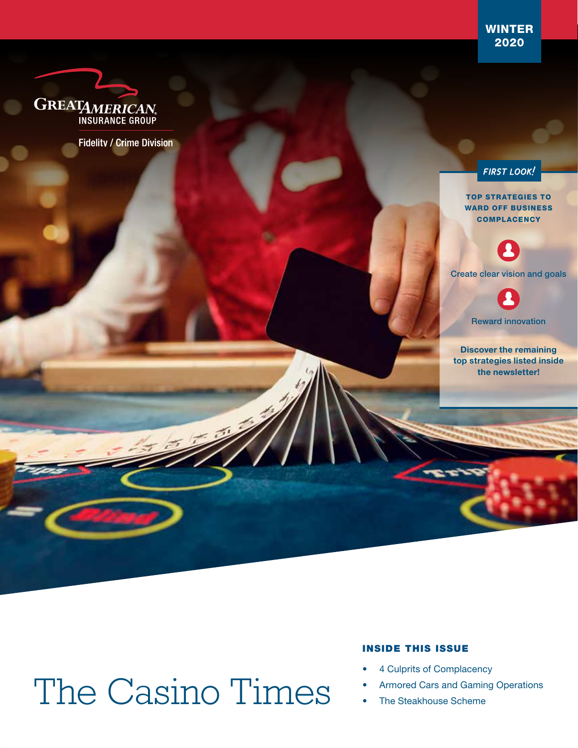WINTER 2020



**Fidelity / Crime Division** 

**FIRST LOOK!** 

TOP STRATEGIES TO WARD OFF BUSINESS **COMPLACENCY** 



Create clear vision and goals

Reward innovation

Discover the remaining top strategies listed inside the newsletter!

# The Casino Times

#### INSIDE THIS ISSUE

- 4 Culprits of Complacency
- Armored Cars and Gaming Operations
- The Steakhouse Scheme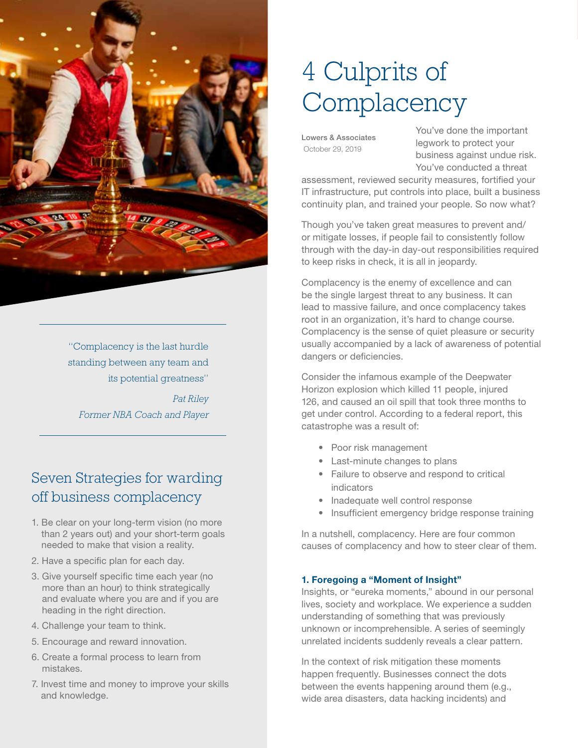

"Complacency is the last hurdle standing between any team and its potential greatness"

*Pat Riley Former NBA Coach and Player*

## Seven Strategies for warding off business complacency

- 1. Be clear on your long-term vision (no more than 2 years out) and your short-term goals needed to make that vision a reality.
- 2. Have a specific plan for each day.
- 3. Give yourself specific time each year (no more than an hour) to think strategically and evaluate where you are and if you are heading in the right direction.
- 4. Challenge your team to think.
- 5. Encourage and reward innovation.
- 6. Create a formal process to learn from mistakes.
- 7. Invest time and money to improve your skills and knowledge.

## 4 Culprits of **Complacency**

Lowers & Associates October 29, 2019

You've done the important legwork to protect your business against undue risk. You've conducted a threat

assessment, reviewed security measures, fortified your IT infrastructure, put controls into place, built a business continuity plan, and trained your people. So now what?

Though you've taken great measures to prevent and/ or mitigate losses, if people fail to consistently follow through with the day-in day-out responsibilities required to keep risks in check, it is all in jeopardy.

Complacency is the enemy of excellence and can be the single largest threat to any business. It can lead to massive failure, and once complacency takes root in an organization, it's hard to change course. Complacency is the sense of quiet pleasure or security usually accompanied by a lack of awareness of potential dangers or deficiencies.

Consider the infamous example of the Deepwater Horizon explosion which killed 11 people, injured 126, and caused an oil spill that took three months to get under control. According to a federal report, this catastrophe was a result of:

- Poor risk management
- Last-minute changes to plans
- Failure to observe and respond to critical indicators
- Inadequate well control response
- Insufficient emergency bridge response training

In a nutshell, complacency. Here are four common causes of complacency and how to steer clear of them.

#### 1. Foregoing a "Moment of Insight"

Insights, or "eureka moments," abound in our personal lives, society and workplace. We experience a sudden understanding of something that was previously unknown or incomprehensible. A series of seemingly unrelated incidents suddenly reveals a clear pattern.

In the context of risk mitigation these moments happen frequently. Businesses connect the dots between the events happening around them (e.g., wide area disasters, data hacking incidents) and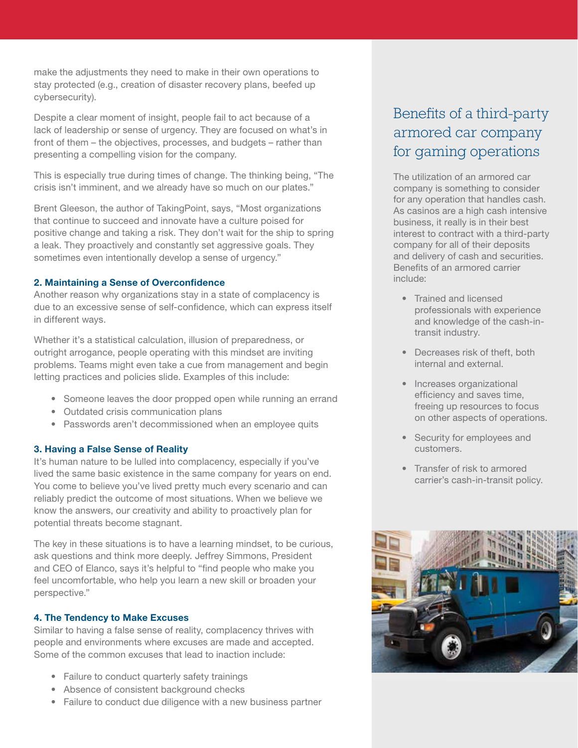make the adjustments they need to make in their own operations to stay protected (e.g., creation of disaster recovery plans, beefed up cybersecurity).

Despite a clear moment of insight, people fail to act because of a lack of leadership or sense of urgency. They are focused on what's in front of them – the objectives, processes, and budgets – rather than presenting a compelling vision for the company.

This is especially true during times of change. The thinking being, "The crisis isn't imminent, and we already have so much on our plates."

Brent Gleeson, the author of TakingPoint, says, "Most organizations that continue to succeed and innovate have a culture poised for positive change and taking a risk. They don't wait for the ship to spring a leak. They proactively and constantly set aggressive goals. They sometimes even intentionally develop a sense of urgency."

#### 2. Maintaining a Sense of Overconfidence

Another reason why organizations stay in a state of complacency is due to an excessive sense of self-confidence, which can express itself in different ways.

Whether it's a statistical calculation, illusion of preparedness, or outright arrogance, people operating with this mindset are inviting problems. Teams might even take a cue from management and begin letting practices and policies slide. Examples of this include:

- Someone leaves the door propped open while running an errand
- Outdated crisis communication plans
- Passwords aren't decommissioned when an employee quits

#### 3. Having a False Sense of Reality

It's human nature to be lulled into complacency, especially if you've lived the same basic existence in the same company for years on end. You come to believe you've lived pretty much every scenario and can reliably predict the outcome of most situations. When we believe we know the answers, our creativity and ability to proactively plan for potential threats become stagnant.

The key in these situations is to have a learning mindset, to be curious, ask questions and think more deeply. Jeffrey Simmons, President and CEO of Elanco, says it's helpful to "find people who make you feel uncomfortable, who help you learn a new skill or broaden your perspective."

#### 4. The Tendency to Make Excuses

Similar to having a false sense of reality, complacency thrives with people and environments where excuses are made and accepted. Some of the common excuses that lead to inaction include:

- Failure to conduct quarterly safety trainings
- Absence of consistent background checks
- Failure to conduct due diligence with a new business partner

## Benefits of a third-party armored car company for gaming operations

The utilization of an armored car company is something to consider for any operation that handles cash. As casinos are a high cash intensive business, it really is in their best interest to contract with a third-party company for all of their deposits and delivery of cash and securities. Benefits of an armored carrier include:

- Trained and licensed professionals with experience and knowledge of the cash-intransit industry.
- Decreases risk of theft, both internal and external.
- Increases organizational efficiency and saves time, freeing up resources to focus on other aspects of operations.
- Security for employees and customers.
- Transfer of risk to armored carrier's cash-in-transit policy.